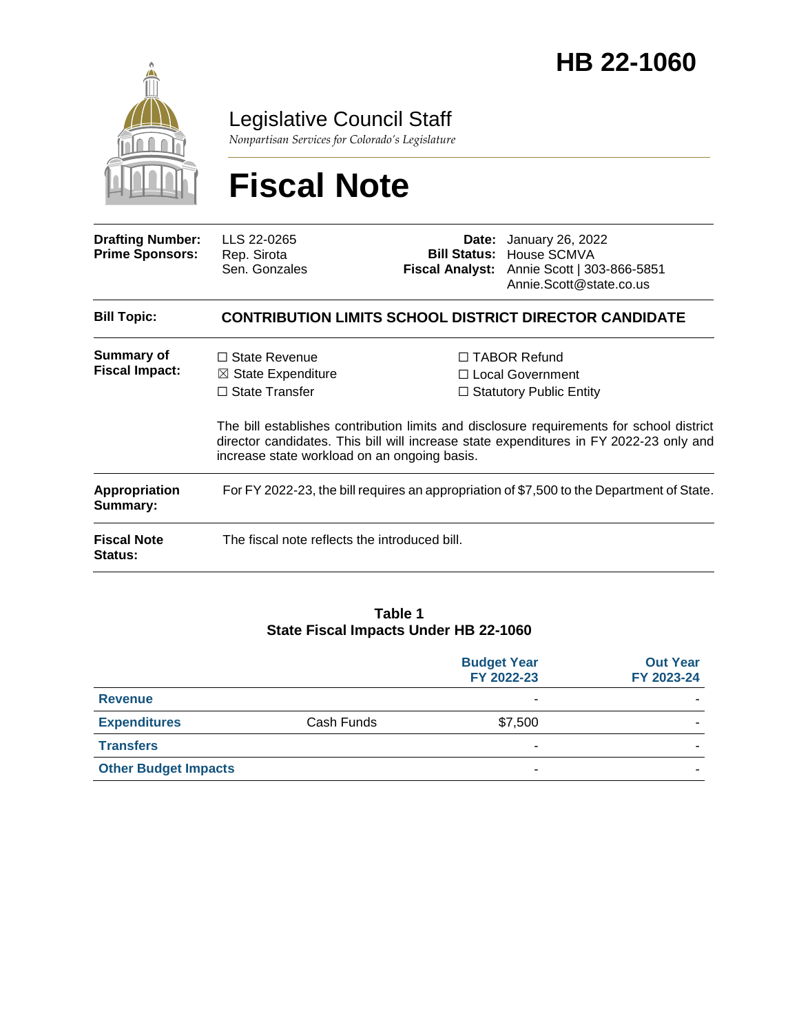

Legislative Council Staff

*Nonpartisan Services for Colorado's Legislature*

# **Fiscal Note**

| <b>Drafting Number:</b><br><b>Prime Sponsors:</b> | LLS 22-0265<br>Rep. Sirota<br>Sen. Gonzales                                                                                    |  | <b>Date:</b> January 26, 2022<br><b>Bill Status: House SCMVA</b><br>Fiscal Analyst: Annie Scott   303-866-5851<br>Annie.Scott@state.co.us                                                                                                                         |
|---------------------------------------------------|--------------------------------------------------------------------------------------------------------------------------------|--|-------------------------------------------------------------------------------------------------------------------------------------------------------------------------------------------------------------------------------------------------------------------|
| <b>Bill Topic:</b>                                |                                                                                                                                |  | <b>CONTRIBUTION LIMITS SCHOOL DISTRICT DIRECTOR CANDIDATE</b>                                                                                                                                                                                                     |
| <b>Summary of</b><br><b>Fiscal Impact:</b>        | $\Box$ State Revenue<br>$\boxtimes$ State Expenditure<br>$\Box$ State Transfer<br>increase state workload on an ongoing basis. |  | $\Box$ TABOR Refund<br>□ Local Government<br>$\Box$ Statutory Public Entity<br>The bill establishes contribution limits and disclosure requirements for school district<br>director candidates. This bill will increase state expenditures in FY 2022-23 only and |
| Appropriation<br>Summary:                         | For FY 2022-23, the bill requires an appropriation of \$7,500 to the Department of State.                                      |  |                                                                                                                                                                                                                                                                   |
| <b>Fiscal Note</b><br><b>Status:</b>              | The fiscal note reflects the introduced bill.                                                                                  |  |                                                                                                                                                                                                                                                                   |

#### **Table 1 State Fiscal Impacts Under HB 22-1060**

|                             |            | <b>Budget Year</b><br>FY 2022-23 | <b>Out Year</b><br>FY 2023-24 |
|-----------------------------|------------|----------------------------------|-------------------------------|
| <b>Revenue</b>              |            |                                  |                               |
| <b>Expenditures</b>         | Cash Funds | \$7,500                          |                               |
| <b>Transfers</b>            |            |                                  |                               |
| <b>Other Budget Impacts</b> |            | -                                |                               |